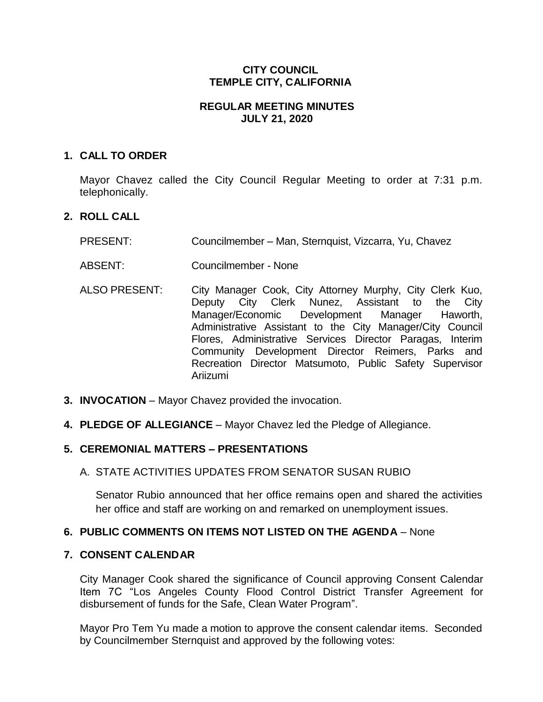# **CITY COUNCIL TEMPLE CITY, CALIFORNIA**

## **REGULAR MEETING MINUTES JULY 21, 2020**

## **1. CALL TO ORDER**

Mayor Chavez called the City Council Regular Meeting to order at 7:31 p.m. telephonically.

# **2. ROLL CALL**

- PRESENT: Councilmember Man, Sternquist, Vizcarra, Yu, Chavez
- ABSENT: Councilmember None
- ALSO PRESENT: City Manager Cook, City Attorney Murphy, City Clerk Kuo, Deputy City Clerk Nunez, Assistant to the City Manager/Economic Development Manager Haworth, Administrative Assistant to the City Manager/City Council Flores, Administrative Services Director Paragas, Interim Community Development Director Reimers, Parks and Recreation Director Matsumoto, Public Safety Supervisor Ariizumi
- **3. INVOCATION** Mayor Chavez provided the invocation.
- **4. PLEDGE OF ALLEGIANCE**  Mayor Chavez led the Pledge of Allegiance.

## **5. CEREMONIAL MATTERS – PRESENTATIONS**

## A. STATE ACTIVITIES UPDATES FROM SENATOR SUSAN RUBIO

Senator Rubio announced that her office remains open and shared the activities her office and staff are working on and remarked on unemployment issues.

## **6. PUBLIC COMMENTS ON ITEMS NOT LISTED ON THE AGENDA** – None

## **7. CONSENT CALENDAR**

City Manager Cook shared the significance of Council approving Consent Calendar Item 7C "Los Angeles County Flood Control District Transfer Agreement for disbursement of funds for the Safe, Clean Water Program".

Mayor Pro Tem Yu made a motion to approve the consent calendar items. Seconded by Councilmember Sternquist and approved by the following votes: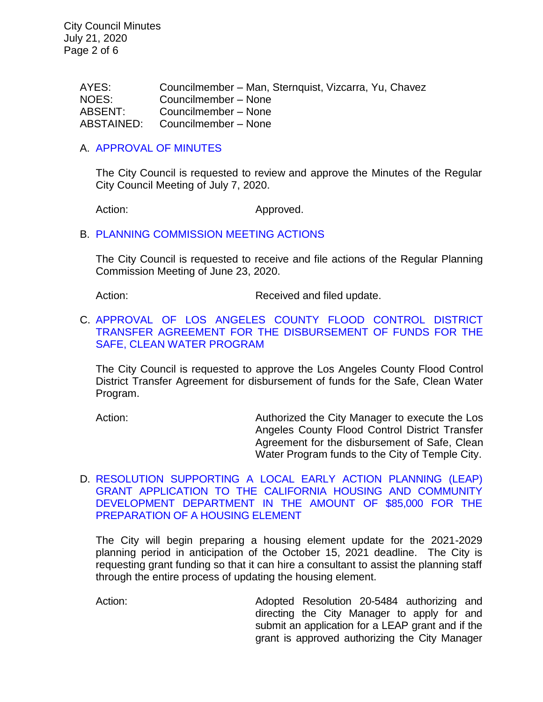City Council Minutes July 21, 2020 Page 2 of 6

> AYES: Councilmember – Man, Sternquist, Vizcarra, Yu, Chavez NOES: Councilmember – None ABSENT: Councilmember – None ABSTAINED: Councilmember – None

#### A. [APPROVAL](https://ca-templecity.civicplus.com/DocumentCenter/View/14784/02-7A--CCM---2020-07-07) OF MINUTES

The City Council is requested to review and approve the Minutes of the Regular City Council Meeting of July 7, 2020.

Action: Approved.

#### B. [PLANNING COMMISSION MEETING ACTIONS](https://ca-templecity.civicplus.com/DocumentCenter/View/14785/03-7B--PC-Actions---from-2020-6-23)

The City Council is requested to receive and file actions of the Regular Planning Commission Meeting of June 23, 2020.

Action: Received and filed update.

## C. [APPROVAL OF LOS ANGELES COUNTY FLOOD CONTROL DISTRICT](https://ca-templecity.civicplus.com/DocumentCenter/View/14786/04-7C--Safe-Clean-Water-Program_Staff-Report_W-ATTACHMENT)  [TRANSFER AGREEMENT FOR THE DISBURSEMENT OF FUNDS FOR THE](https://ca-templecity.civicplus.com/DocumentCenter/View/14786/04-7C--Safe-Clean-Water-Program_Staff-Report_W-ATTACHMENT)  [SAFE, CLEAN WATER PROGRAM](https://ca-templecity.civicplus.com/DocumentCenter/View/14786/04-7C--Safe-Clean-Water-Program_Staff-Report_W-ATTACHMENT)

The City Council is requested to approve the Los Angeles County Flood Control District Transfer Agreement for disbursement of funds for the Safe, Clean Water Program.

Action: **Authorized the City Manager to execute the Los** Angeles County Flood Control District Transfer Agreement for the disbursement of Safe, Clean Water Program funds to the City of Temple City.

#### D. [RESOLUTION SUPPORTING A LOCAL EARLY ACTION PLANNING \(LEAP\)](https://ca-templecity.civicplus.com/DocumentCenter/View/14787/05-7D--LEAP-Grant-Application_Staff-Report_W-ATTACHMENT)  [GRANT APPLICATION TO THE CALIFORNIA HOUSING AND COMMUNITY](https://ca-templecity.civicplus.com/DocumentCenter/View/14787/05-7D--LEAP-Grant-Application_Staff-Report_W-ATTACHMENT)  [DEVELOPMENT DEPARTMENT IN THE AMOUNT OF \\$85,000 FOR THE](https://ca-templecity.civicplus.com/DocumentCenter/View/14787/05-7D--LEAP-Grant-Application_Staff-Report_W-ATTACHMENT)  [PREPARATION OF A HOUSING ELEMENT](https://ca-templecity.civicplus.com/DocumentCenter/View/14787/05-7D--LEAP-Grant-Application_Staff-Report_W-ATTACHMENT)

The City will begin preparing a housing element update for the 2021-2029 planning period in anticipation of the October 15, 2021 deadline. The City is requesting grant funding so that it can hire a consultant to assist the planning staff through the entire process of updating the housing element.

Action: Adopted Resolution 20-5484 authorizing and directing the City Manager to apply for and submit an application for a LEAP grant and if the grant is approved authorizing the City Manager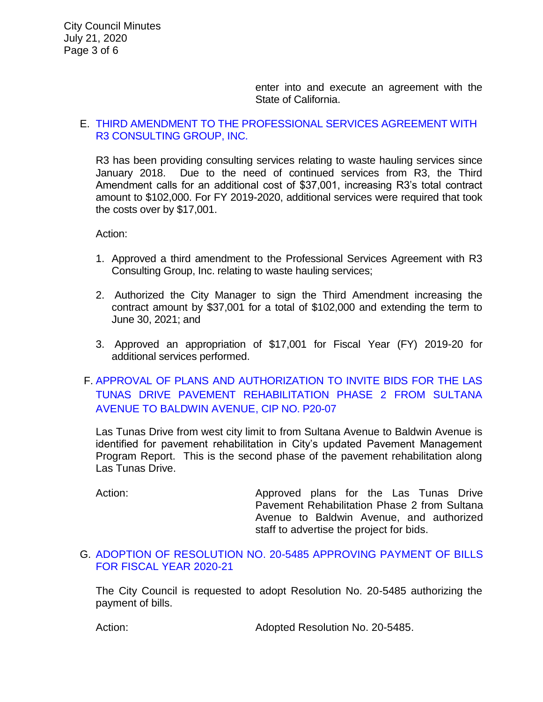enter into and execute an agreement with the State of California.

## E. [THIRD AMENDMENT TO THE PROFESSIONAL SERVICES AGREEMENT WITH](https://ca-templecity.civicplus.com/DocumentCenter/View/14788/06-7E--R3-Consulting_Third-Amendment-to-Agreement-for-Services_Staff-Report_W-ATTACHMENTS)  [R3 CONSULTING GROUP, INC.](https://ca-templecity.civicplus.com/DocumentCenter/View/14788/06-7E--R3-Consulting_Third-Amendment-to-Agreement-for-Services_Staff-Report_W-ATTACHMENTS)

R3 has been providing consulting services relating to waste hauling services since January 2018. Due to the need of continued services from R3, the Third Amendment calls for an additional cost of \$37,001, increasing R3's total contract amount to \$102,000. For FY 2019-2020, additional services were required that took the costs over by \$17,001.

Action:

- 1. Approved a third amendment to the Professional Services Agreement with R3 Consulting Group, Inc. relating to waste hauling services;
- 2. Authorized the City Manager to sign the Third Amendment increasing the contract amount by \$37,001 for a total of \$102,000 and extending the term to June 30, 2021; and
- 3. Approved an appropriation of \$17,001 for Fiscal Year (FY) 2019-20 for additional services performed.
- F. [APPROVAL OF PLANS AND AUTHORIZATION TO INVITE BIDS FOR THE LAS](https://ca-templecity.civicplus.com/DocumentCenter/View/14796/07-7F--Staff-Report_LAS-TUNAS-REHAB-PHASE-2-SULTANA-TO-BALDWIN-7-21-2020_W-ATTACHMENTS)  [TUNAS DRIVE PAVEMENT REHABILITATION](https://ca-templecity.civicplus.com/DocumentCenter/View/14796/07-7F--Staff-Report_LAS-TUNAS-REHAB-PHASE-2-SULTANA-TO-BALDWIN-7-21-2020_W-ATTACHMENTS) PHASE 2 FROM SULTANA [AVENUE TO BALDWIN AVENUE,](https://ca-templecity.civicplus.com/DocumentCenter/View/14796/07-7F--Staff-Report_LAS-TUNAS-REHAB-PHASE-2-SULTANA-TO-BALDWIN-7-21-2020_W-ATTACHMENTS) CIP NO. P20-07

Las Tunas Drive from west city limit to from Sultana Avenue to Baldwin Avenue is identified for pavement rehabilitation in City's updated Pavement Management Program Report. This is the second phase of the pavement rehabilitation along Las Tunas Drive.

Action: Approved plans for the Las Tunas Drive Pavement Rehabilitation Phase 2 from Sultana Avenue to Baldwin Avenue, and authorized staff to advertise the project for bids.

G. [ADOPTION OF RESOLUTION NO. 20-5485](https://ca-templecity.civicplus.com/DocumentCenter/View/14790/08-7G---CC-Warrant) APPROVING PAYMENT OF BILLS [FOR FISCAL YEAR 2020-21](https://ca-templecity.civicplus.com/DocumentCenter/View/14790/08-7G---CC-Warrant)

The City Council is requested to adopt Resolution No. 20-5485 authorizing the payment of bills.

Action: Mathematic Contract Adopted Resolution No. 20-5485.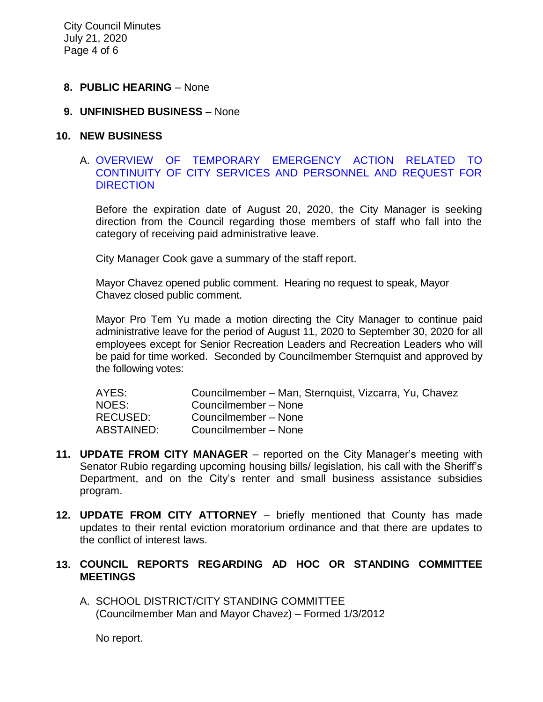#### **8. PUBLIC HEARING** – None

#### **9. UNFINISHED BUSINESS** – None

#### **10. NEW BUSINESS**

## A. [OVERVIEW OF TEMPORARY EMERGENCY ACTION RELATED TO](https://ca-templecity.civicplus.com/DocumentCenter/View/14795/09-10A--Staff-Report-COVID-21-July-29-2020_FINAL)  [CONTINUITY OF CITY SERVICES AND PERSONNEL AND REQUEST FOR](https://ca-templecity.civicplus.com/DocumentCenter/View/14795/09-10A--Staff-Report-COVID-21-July-29-2020_FINAL)  **[DIRECTION](https://ca-templecity.civicplus.com/DocumentCenter/View/14795/09-10A--Staff-Report-COVID-21-July-29-2020_FINAL)**

Before the expiration date of August 20, 2020, the City Manager is seeking direction from the Council regarding those members of staff who fall into the category of receiving paid administrative leave.

City Manager Cook gave a summary of the staff report.

Mayor Chavez opened public comment. Hearing no request to speak, Mayor Chavez closed public comment.

Mayor Pro Tem Yu made a motion directing the City Manager to continue paid administrative leave for the period of August 11, 2020 to September 30, 2020 for all employees except for Senior Recreation Leaders and Recreation Leaders who will be paid for time worked. Seconded by Councilmember Sternquist and approved by the following votes:

| AYES:      | Councilmember – Man, Sternquist, Vizcarra, Yu, Chavez |
|------------|-------------------------------------------------------|
| NOES:      | Councilmember - None                                  |
| RECUSED:   | Councilmember - None                                  |
| ABSTAINED: | Councilmember - None                                  |

- **11. UPDATE FROM CITY MANAGER** reported on the City Manager's meeting with Senator Rubio regarding upcoming housing bills/ legislation, his call with the Sheriff's Department, and on the City's renter and small business assistance subsidies program.
- **12. UPDATE FROM CITY ATTORNEY** briefly mentioned that County has made updates to their rental eviction moratorium ordinance and that there are updates to the conflict of interest laws.

## **13. COUNCIL REPORTS REGARDING AD HOC OR STANDING COMMITTEE MEETINGS**

A. SCHOOL DISTRICT/CITY STANDING COMMITTEE (Councilmember Man and Mayor Chavez) – Formed 1/3/2012

No report.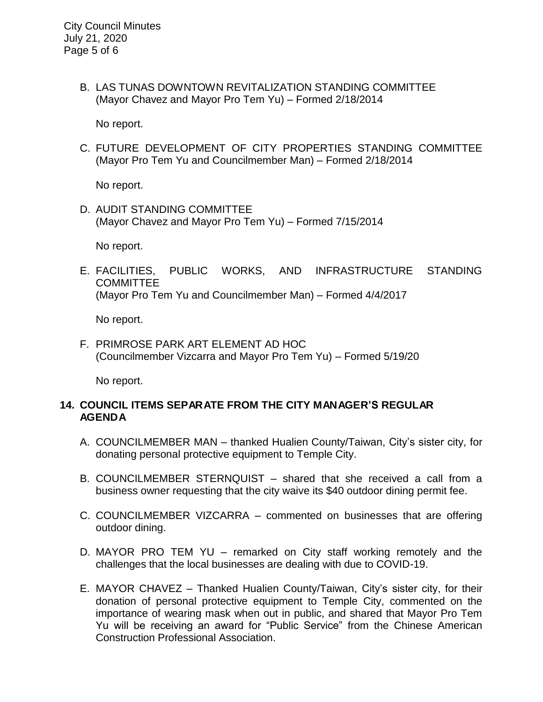B. LAS TUNAS DOWNTOWN REVITALIZATION STANDING COMMITTEE (Mayor Chavez and Mayor Pro Tem Yu) – Formed 2/18/2014

No report.

C. FUTURE DEVELOPMENT OF CITY PROPERTIES STANDING COMMITTEE (Mayor Pro Tem Yu and Councilmember Man) – Formed 2/18/2014

No report.

D. AUDIT STANDING COMMITTEE (Mayor Chavez and Mayor Pro Tem Yu) – Formed 7/15/2014

No report.

E. FACILITIES, PUBLIC WORKS, AND INFRASTRUCTURE STANDING **COMMITTEE** (Mayor Pro Tem Yu and Councilmember Man) – Formed 4/4/2017

No report.

F. PRIMROSE PARK ART ELEMENT AD HOC (Councilmember Vizcarra and Mayor Pro Tem Yu) – Formed 5/19/20

No report.

# **14. COUNCIL ITEMS SEPARATE FROM THE CITY MANAGER'S REGULAR AGENDA**

- A. COUNCILMEMBER MAN thanked Hualien County/Taiwan, City's sister city, for donating personal protective equipment to Temple City.
- B. COUNCILMEMBER STERNQUIST shared that she received a call from a business owner requesting that the city waive its \$40 outdoor dining permit fee.
- C. COUNCILMEMBER VIZCARRA commented on businesses that are offering outdoor dining.
- D. MAYOR PRO TEM YU remarked on City staff working remotely and the challenges that the local businesses are dealing with due to COVID-19.
- E. MAYOR CHAVEZ Thanked Hualien County/Taiwan, City's sister city, for their donation of personal protective equipment to Temple City, commented on the importance of wearing mask when out in public, and shared that Mayor Pro Tem Yu will be receiving an award for "Public Service" from the Chinese American Construction Professional Association.